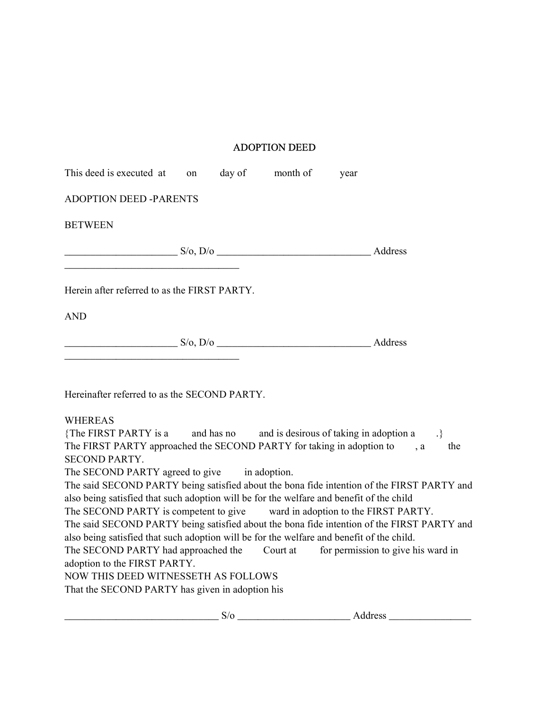## ADOPTION DEED

| This deed is executed at on day of month of                                                                                                                                                                                                                                                                                                                                                                                                                                                                                                                                                                                                                                                                                                                                                                                                                                                                                            |  | year |                                                                 |
|----------------------------------------------------------------------------------------------------------------------------------------------------------------------------------------------------------------------------------------------------------------------------------------------------------------------------------------------------------------------------------------------------------------------------------------------------------------------------------------------------------------------------------------------------------------------------------------------------------------------------------------------------------------------------------------------------------------------------------------------------------------------------------------------------------------------------------------------------------------------------------------------------------------------------------------|--|------|-----------------------------------------------------------------|
| <b>ADOPTION DEED -PARENTS</b>                                                                                                                                                                                                                                                                                                                                                                                                                                                                                                                                                                                                                                                                                                                                                                                                                                                                                                          |  |      |                                                                 |
| <b>BETWEEN</b>                                                                                                                                                                                                                                                                                                                                                                                                                                                                                                                                                                                                                                                                                                                                                                                                                                                                                                                         |  |      |                                                                 |
|                                                                                                                                                                                                                                                                                                                                                                                                                                                                                                                                                                                                                                                                                                                                                                                                                                                                                                                                        |  |      |                                                                 |
| Herein after referred to as the FIRST PARTY.                                                                                                                                                                                                                                                                                                                                                                                                                                                                                                                                                                                                                                                                                                                                                                                                                                                                                           |  |      |                                                                 |
| <b>AND</b>                                                                                                                                                                                                                                                                                                                                                                                                                                                                                                                                                                                                                                                                                                                                                                                                                                                                                                                             |  |      |                                                                 |
| $S/O, D/O$ Address                                                                                                                                                                                                                                                                                                                                                                                                                                                                                                                                                                                                                                                                                                                                                                                                                                                                                                                     |  |      |                                                                 |
| Hereinafter referred to as the SECOND PARTY.                                                                                                                                                                                                                                                                                                                                                                                                                                                                                                                                                                                                                                                                                                                                                                                                                                                                                           |  |      |                                                                 |
| <b>WHEREAS</b><br>{The FIRST PARTY is a and has no and is desirous of taking in adoption a<br>The FIRST PARTY approached the SECOND PARTY for taking in adoption to , a<br><b>SECOND PARTY.</b><br>The SECOND PARTY agreed to give in adoption.<br>The said SECOND PARTY being satisfied about the bona fide intention of the FIRST PARTY and<br>also being satisfied that such adoption will be for the welfare and benefit of the child<br>The SECOND PARTY is competent to give ward in adoption to the FIRST PARTY.<br>The said SECOND PARTY being satisfied about the bona fide intention of the FIRST PARTY and<br>also being satisfied that such adoption will be for the welfare and benefit of the child.<br>The SECOND PARTY had approached the Court at for permission to give his ward in<br>adoption to the FIRST PARTY.<br><b>NOW THIS DEED WITNESSETH AS FOLLOWS</b><br>That the SECOND PARTY has given in adoption his |  |      | $.\}$<br>the                                                    |
|                                                                                                                                                                                                                                                                                                                                                                                                                                                                                                                                                                                                                                                                                                                                                                                                                                                                                                                                        |  |      | $S/O$ $\overline{\phantom{a}}$ Address $\overline{\phantom{a}}$ |